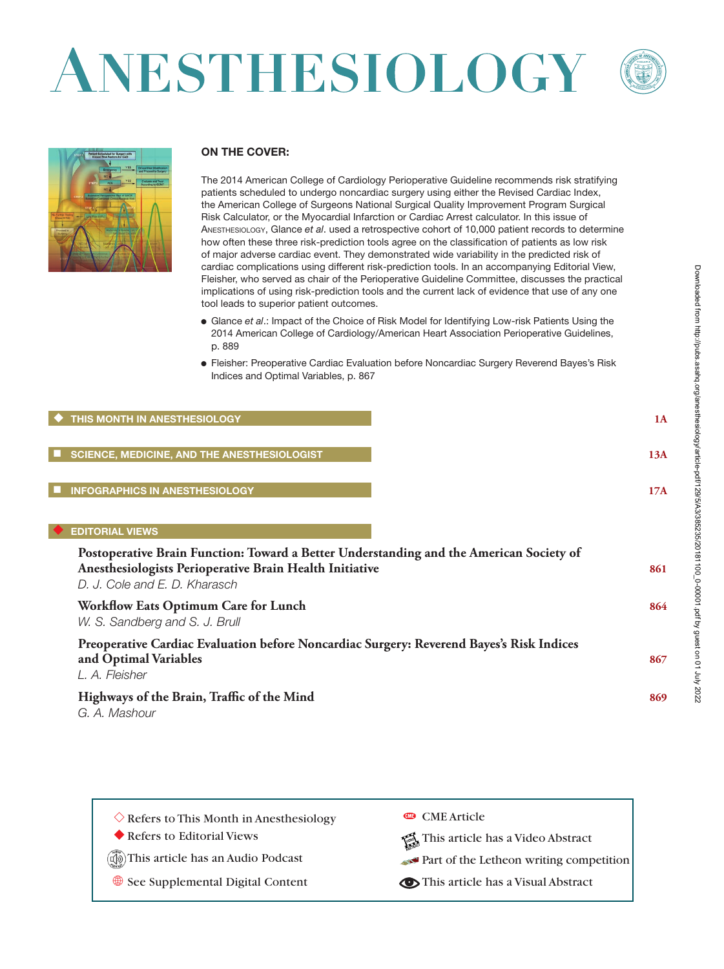# ANESTHESIOLOGY





#### **ON THE COVER: ON THE**

The 2014 American College of Cardiology Perioperative Guideline recommends risk stratifying mo zo manufation consgo of clinical dougly reportance datability recommends non-entaily.<br>patients scheduled to undergo noncardiac surgery using either the Revised Cardiac Index, particle concealed to and sign includiate cargery deling entire the fields cardial mapping the American College of Surgeons National Surgical Quality Improvement Program Surgical Risk Calculator, or the Myocardial Infarction or Cardiac Arrest calculator. In this issue of ANESTHESIOLOGY, Glance et al. used a retrospective cohort of 10,000 patient records to determine how often these three risk-prediction tools agree on the classification of patients as low risk of major adverse cardiac event. They demonstrated wide variability in the predicted risk of cardiac complications using different risk-prediction tools. In an accompanying Editorial View, Fleisher, who served as chair of the Perioperative Guideline Committee, discusses the practical implications of using risk-prediction tools and the current lack of evidence that use of any one tool leads to superior patient outcomes.

- Glance *et al.*: Impact of the Choice of Risk Model for Identifying Low-risk Patients Using the 2014 American College of Cardiology/American Heart Association Perioperative Guidelines, p. 889
	- Fleisher: Preoperative Cardiac Evaluation before Noncardiac Surgery Reverend Bayes's Risk Indices and Optimal Variables, p. 867

#### ◆ THIS MONTH IN ANESTHESIOLOGY **1A Opportunities of Data Registries and Medical Teamwork 225**

■ SCIENCE, MEDICINE, AND THE ANESTHESIOLOGIST **13A** *Sachin H. Jain, Patrick H. Conway, and Donald M. Berwick*

#### ■ INFOGRAPHICS IN ANESTHESIOLOGY **17A** *Lee A. Fleisher, Alex S. Evers, Jeanine Wiener-Kronish, and John A. Ulatowski*

#### ◆ **EDITORIAL VIEWS . Making Sedation Safer: Is Simulation the Answer? 232**

| Postoperative Brain Function: Toward a Better Understanding and the American Society of<br>Anesthesiologists Perioperative Brain Health Initiative<br>D. J. Cole and E. D. Kharasch | 861 |
|-------------------------------------------------------------------------------------------------------------------------------------------------------------------------------------|-----|
| Workflow Eats Optimum Care for Lunch<br>W. S. Sandberg and S. J. Brull                                                                                                              | 864 |
| Preoperative Cardiac Evaluation before Noncardiac Surgery: Reverend Bayes's Risk Indices<br>and Optimal Variables<br>L. A. Fleisher                                                 | 867 |
| Highways of the Brain, Traffic of the Mind<br>G. A. Mashour                                                                                                                         | 869 |

| $\Diamond$ Refers to This Month in Anesthesiology | <b>COME Article</b>                     |
|---------------------------------------------------|-----------------------------------------|
| Refers to Editorial Views                         | This article has a Video Abstract       |
| (I)) This article has an Audio Podcast            | Part of the Letheon writing competition |
| See Supplemental Digital Content                  | This article has a Visual Abstract      |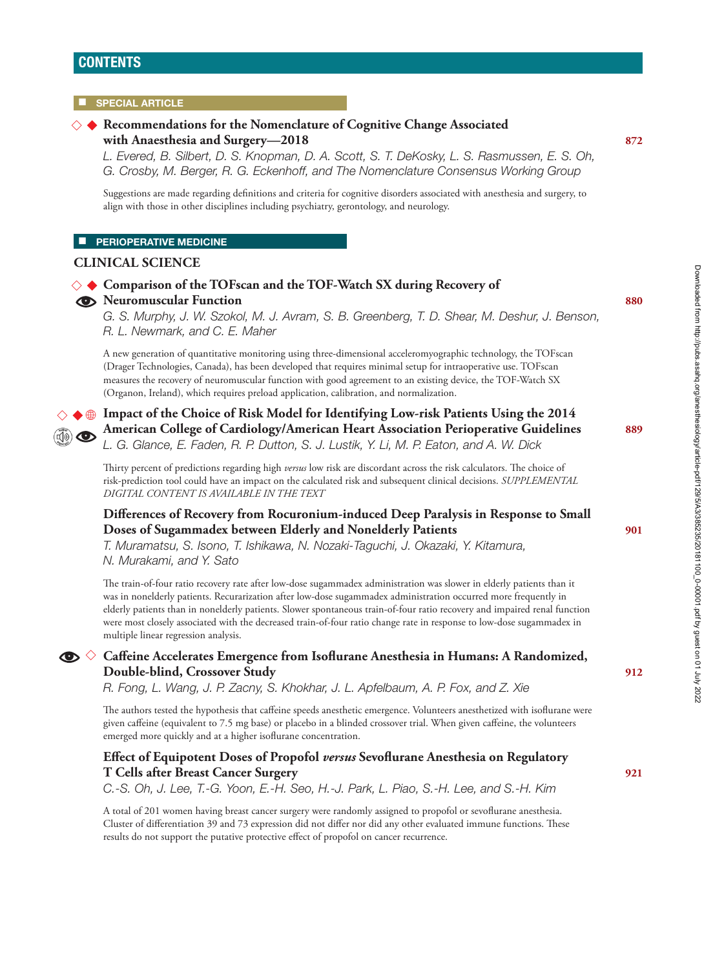# **CONTENTS**

#### **SPECIAL ARTICLE**

#### **Recommendations for the Nomenclature of Cognitive Change Associated**  ◇ ◆ **with Anaesthesia and Surgery—2018 872**

 **Comparison of the TOFscan and the TOF-Watch SX during Recovery of**  ◇ ◆

*L. Evered, B. Silbert, D. S. Knopman, D. A. Scott, S. T. DeKosky, L. S. Rasmussen, E. S. Oh, G. Crosby, M. Berger, R. G. Eckenhoff, and The Nomenclature Consensus Working Group*

Suggestions are made regarding definitions and criteria for cognitive disorders associated with anesthesia and surgery, to align with those in other disciplines including psychiatry, gerontology, and neurology.

**CO** Neuromuscular Function **880** 

#### $\blacksquare$  **PERIOPERATIVE MEDICINE**

#### **CLINICAL SCIENCE**



#### ◇ **Caffeine Accelerates Emergence from Isoflurane Anesthesia in Humans: A Randomized, Double-blind, Crossover Study 912**

*R. Fong, L. Wang, J. P. Zacny, S. Khokhar, J. L. Apfelbaum, A. P. Fox, and Z. Xie*

The authors tested the hypothesis that caffeine speeds anesthetic emergence. Volunteers anesthetized with isoflurane were given caffeine (equivalent to 7.5 mg base) or placebo in a blinded crossover trial. When given caffeine, the volunteers emerged more quickly and at a higher isoflurane concentration.

### **Effect of Equipotent Doses of Propofol** *versus* **Sevoflurane Anesthesia on Regulatory T Cells after Breast Cancer Surgery 921**

*C.-S. Oh, J. Lee, T.-G. Yoon, E.-H. Seo, H.-J. Park, L. Piao, S.-H. Lee, and S.-H. Kim*

A total of 201 women having breast cancer surgery were randomly assigned to propofol or sevoflurane anesthesia. Cluster of differentiation 39 and 73 expression did not differ nor did any other evaluated immune functions. These results do not support the putative protective effect of propofol on cancer recurrence.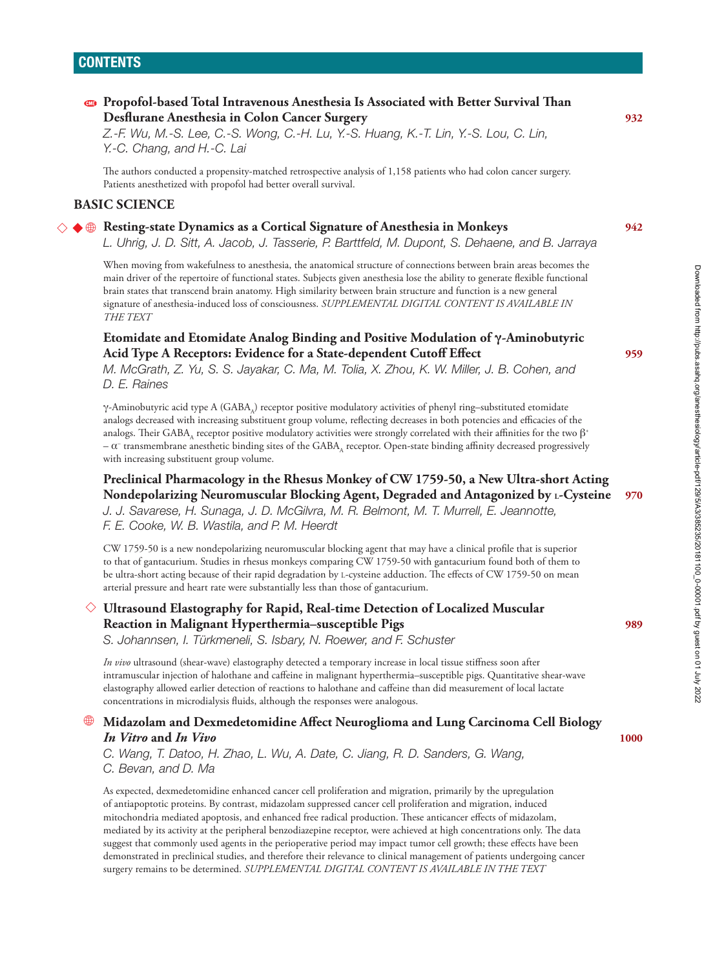# **Propofol-based Total Intravenous Anesthesia Is Associated with Better Survival Than Desflurane Anesthesia in Colon Cancer Surgery 932**

*Z.-F. Wu, M.-S. Lee, C.-S. Wong, C.-H. Lu, Y.-S. Huang, K.-T. Lin, Y.-S. Lou, C. Lin, Y.-C. Chang, and H.-C. Lai*

The authors conducted a propensity-matched retrospective analysis of 1,158 patients who had colon cancer surgery. Patients anesthetized with propofol had better overall survival.

#### **BASIC SCIENCE**

# **Resting-state Dynamics as a Cortical Signature of Anesthesia in Monkeys 942** ◇ ◆ •

*L. Uhrig, J. D. Sitt, A. Jacob, J. Tasserie, P. Barttfeld, M. Dupont, S. Dehaene, and B. Jarraya*

When moving from wakefulness to anesthesia, the anatomical structure of connections between brain areas becomes the main driver of the repertoire of functional states. Subjects given anesthesia lose the ability to generate flexible functional brain states that transcend brain anatomy. High similarity between brain structure and function is a new general signature of anesthesia-induced loss of consciousness. *SUPPLEMENTAL DIGITAL CONTENT IS AVAILABLE IN THE TEXT*

#### **Etomidate and Etomidate Analog Binding and Positive Modulation of γ-Aminobutyric Acid Type A Receptors: Evidence for a State-dependent Cutoff Effect 959**

*M. McGrath, Z. Yu, S. S. Jayakar, C. Ma, M. Tolia, X. Zhou, K. W. Miller, J. B. Cohen, and D. E. Raines*

γ-Aminobutyric acid type A (GABA,) receptor positive modulatory activities of phenyl ring–substituted etomidate analogs decreased with increasing substituent group volume, reflecting decreases in both potencies and efficacies of the analogs. Their GABA<sub>A</sub> receptor positive modulatory activities were strongly correlated with their affinities for the two  $\beta^*$ –  $\alpha^-$  transmembrane anesthetic binding sites of the GABA<sub>A</sub> receptor. Open-state binding affinity decreased progressively with increasing substituent group volume.

 **Preclinical Pharmacology in the Rhesus Monkey of CW 1759-50, a New Ultra-short Acting Nondepolarizing Neuromuscular Blocking Agent, Degraded and Antagonized by L-Cysteine 970** *J. J. Savarese, H. Sunaga, J. D. McGilvra, M. R. Belmont, M. T. Murrell, E. Jeannotte, F. E. Cooke, W. B. Wastila, and P. M. Heerdt*

CW 1759-50 is a new nondepolarizing neuromuscular blocking agent that may have a clinical profile that is superior to that of gantacurium. Studies in rhesus monkeys comparing CW 1759-50 with gantacurium found both of them to be ultra-short acting because of their rapid degradation by L-cysteine adduction. The effects of CW 1759-50 on mean arterial pressure and heart rate were substantially less than those of gantacurium.

# ◇ **Ultrasound Elastography for Rapid, Real-time Detection of Localized Muscular Reaction in Malignant Hyperthermia–susceptible Pigs 989**

*S. Johannsen, I. Türkmeneli, S. Isbary, N. Roewer, and F. Schuster*

*In vivo* ultrasound (shear-wave) elastography detected a temporary increase in local tissue stiffness soon after intramuscular injection of halothane and caffeine in malignant hyperthermia–susceptible pigs. Quantitative shear-wave elastography allowed earlier detection of reactions to halothane and caffeine than did measurement of local lactate concentrations in microdialysis fluids, although the responses were analogous.

#### • **Midazolam and Dexmedetomidine Affect Neuroglioma and Lung Carcinoma Cell Biology**  *In Vitro* **and** *In Vivo* **1000**

*C. Wang, T. Datoo, H. Zhao, L. Wu, A. Date, C. Jiang, R. D. Sanders, G. Wang, C. Bevan, and D. Ma*

As expected, dexmedetomidine enhanced cancer cell proliferation and migration, primarily by the upregulation of antiapoptotic proteins. By contrast, midazolam suppressed cancer cell proliferation and migration, induced mitochondria mediated apoptosis, and enhanced free radical production. These anticancer effects of midazolam, mediated by its activity at the peripheral benzodiazepine receptor, were achieved at high concentrations only. The data suggest that commonly used agents in the perioperative period may impact tumor cell growth; these effects have been demonstrated in preclinical studies, and therefore their relevance to clinical management of patients undergoing cancer surgery remains to be determined. *SUPPLEMENTAL DIGITAL CONTENT IS AVAILABLE IN THE TEXT*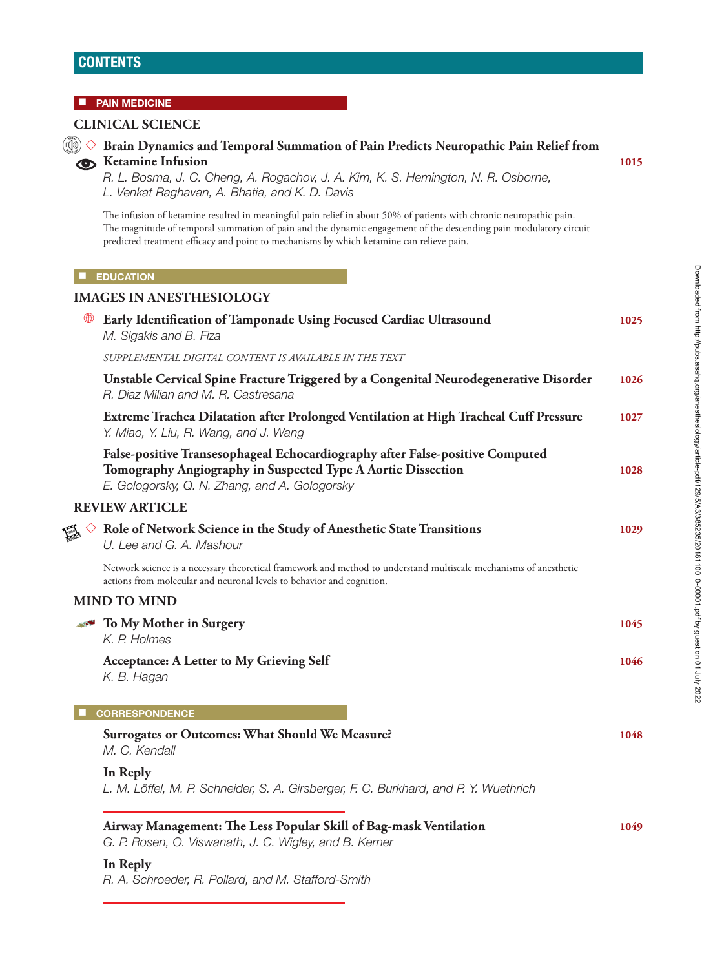## **CONTENTS**

#### $\blacksquare$  **PAIN MEDICINE**

#### **CLINICAL SCIENCE**



### ◇ **Brain Dynamics and Temporal Summation of Pain Predicts Neuropathic Pain Relief from Ketamine Infusion** 1015

*R. L. Bosma, J. C. Cheng, A. Rogachov, J. A. Kim, K. S. Hemington, N. R. Osborne, L. Venkat Raghavan, A. Bhatia, and K. D. Davis*

The infusion of ketamine resulted in meaningful pain relief in about 50% of patients with chronic neuropathic pain. The magnitude of temporal summation of pain and the dynamic engagement of the descending pain modulatory circuit predicted treatment efficacy and point to mechanisms by which ketamine can relieve pain.

#### $\blacksquare$  **EDUCATION**

# **IMAGES IN ANESTHESIOLOGY** • **Early Identification of Tamponade Using Focused Cardiac Ultrasound 1025** *M. Sigakis and B. Fiza SUPPLEMENTAL DIGITAL CONTENT IS AVAILABLE IN THE TEXT*  **Unstable Cervical Spine Fracture Triggered by a Congenital Neurodegenerative Disorder 1026** *R. Diaz Milian and M. R. Castresana*  **Extreme Trachea Dilatation after Prolonged Ventilation at High Tracheal Cuff Pressure 1027** *Y. Miao, Y. Liu, R. Wang, and J. Wang*  **False-positive Transesophageal Echocardiography after False-positive Computed Tomography Angiography in Suspected Type A Aortic Dissection 1028** *E. Gologorsky, Q. N. Zhang, and A. Gologorsky* **REVIEW ARTICLE** ◇ **Role of Network Science in the Study of Anesthetic State Transitions 1029** *U. Lee and G. A. Mashour* Network science is a necessary theoretical framework and method to understand multiscale mechanisms of anesthetic actions from molecular and neuronal levels to behavior and cognition. **MIND TO MIND To My Mother in Surgery 1045 1045** *K. P. Holmes*  **Acceptance: A Letter to My Grieving Self 1046** *K. B. Hagan* ■ **CORRESPONDENCE Surrogates or Outcomes: What Should We Measure? 1048** *M. C. Kendall*

 **In Reply** *L. M. Löffel, M. P. Schneider, S. A. Girsberger, F. C. Burkhard, and P. Y. Wuethrich*

# **Airway Management: The Less Popular Skill of Bag-mask Ventilation 1049**

*G. P. Rosen, O. Viswanath, J. C. Wigley, and B. Kerner*

# **In Reply**

*R. A. Schroeder, R. Pollard, and M. Stafford-Smith*